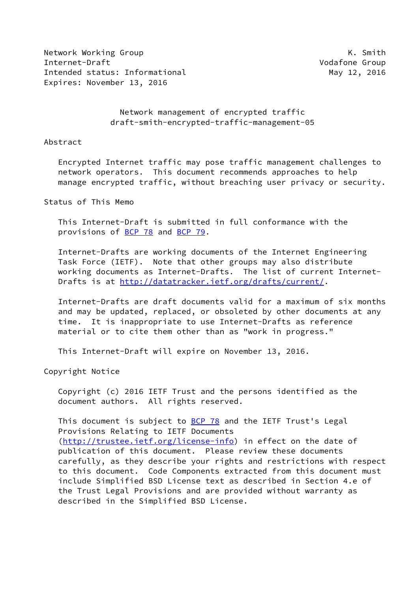Network Working Group **K. Smith** Internet-Draft Vodafone Group Intended status: Informational and May 12, 2016 Expires: November 13, 2016

# Network management of encrypted traffic draft-smith-encrypted-traffic-management-05

#### Abstract

 Encrypted Internet traffic may pose traffic management challenges to network operators. This document recommends approaches to help manage encrypted traffic, without breaching user privacy or security.

Status of This Memo

 This Internet-Draft is submitted in full conformance with the provisions of [BCP 78](https://datatracker.ietf.org/doc/pdf/bcp78) and [BCP 79](https://datatracker.ietf.org/doc/pdf/bcp79).

 Internet-Drafts are working documents of the Internet Engineering Task Force (IETF). Note that other groups may also distribute working documents as Internet-Drafts. The list of current Internet- Drafts is at<http://datatracker.ietf.org/drafts/current/>.

 Internet-Drafts are draft documents valid for a maximum of six months and may be updated, replaced, or obsoleted by other documents at any time. It is inappropriate to use Internet-Drafts as reference material or to cite them other than as "work in progress."

This Internet-Draft will expire on November 13, 2016.

Copyright Notice

 Copyright (c) 2016 IETF Trust and the persons identified as the document authors. All rights reserved.

This document is subject to **[BCP 78](https://datatracker.ietf.org/doc/pdf/bcp78)** and the IETF Trust's Legal Provisions Relating to IETF Documents [\(http://trustee.ietf.org/license-info](http://trustee.ietf.org/license-info)) in effect on the date of publication of this document. Please review these documents carefully, as they describe your rights and restrictions with respect to this document. Code Components extracted from this document must include Simplified BSD License text as described in Section 4.e of the Trust Legal Provisions and are provided without warranty as described in the Simplified BSD License.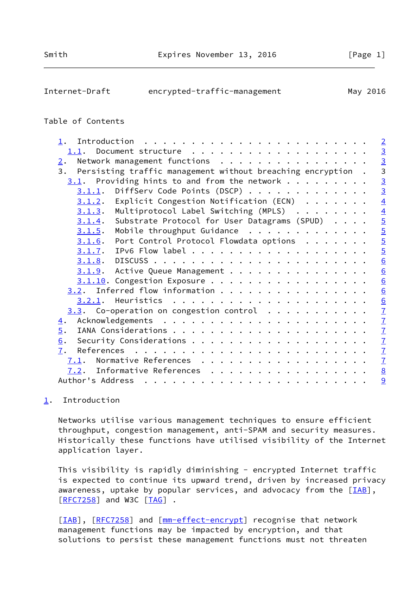<span id="page-1-1"></span>

| Internet-Draft | encrypted-traffic-management | May 2016 |
|----------------|------------------------------|----------|
|                |                              |          |

## Table of Contents

# <span id="page-1-0"></span>[1](#page-1-0). Introduction

 Networks utilise various management techniques to ensure efficient throughput, congestion management, anti-SPAM and security measures. Historically these functions have utilised visibility of the Internet application layer.

 This visibility is rapidly diminishing - encrypted Internet traffic is expected to continue its upward trend, driven by increased privacy awareness, uptake by popular services, and advocacy from the  $[IAB]$  $[IAB]$ , [\[RFC7258](https://datatracker.ietf.org/doc/pdf/rfc7258)] and W3C [[TAG](#page-9-1)] .

[\[IAB](#page-8-1)], [\[RFC7258](https://datatracker.ietf.org/doc/pdf/rfc7258)] and [\[mm-effect-encrypt\]](#page-8-2) recognise that network management functions may be impacted by encryption, and that solutions to persist these management functions must not threaten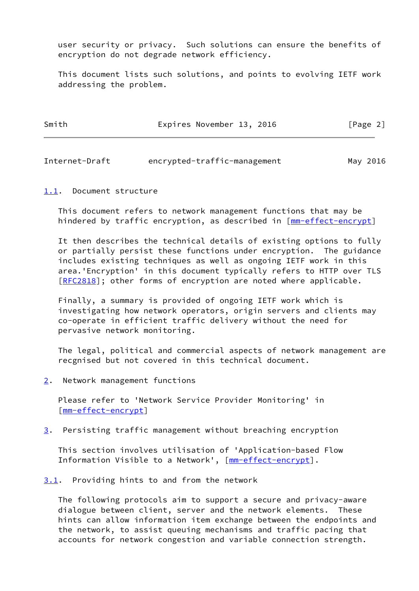user security or privacy. Such solutions can ensure the benefits of encryption do not degrade network efficiency.

 This document lists such solutions, and points to evolving IETF work addressing the problem.

| Smith | Expires November 13, 2016 | [Page 2] |
|-------|---------------------------|----------|
|       |                           |          |

<span id="page-2-1"></span>Internet-Draft encrypted-traffic-management May 2016

#### <span id="page-2-0"></span>[1.1](#page-2-0). Document structure

 This document refers to network management functions that may be hindered by traffic encryption, as described in [\[mm-effect-encrypt](#page-8-2)]

 It then describes the technical details of existing options to fully or partially persist these functions under encryption. The guidance includes existing techniques as well as ongoing IETF work in this area.'Encryption' in this document typically refers to HTTP over TLS [\[RFC2818](https://datatracker.ietf.org/doc/pdf/rfc2818)]; other forms of encryption are noted where applicable.

 Finally, a summary is provided of ongoing IETF work which is investigating how network operators, origin servers and clients may co-operate in efficient traffic delivery without the need for pervasive network monitoring.

 The legal, political and commercial aspects of network management are recgnised but not covered in this technical document.

<span id="page-2-2"></span>[2](#page-2-2). Network management functions

 Please refer to 'Network Service Provider Monitoring' in [\[mm-effect-encrypt](#page-8-2)]

<span id="page-2-4"></span>[3](#page-2-4). Persisting traffic management without breaching encryption

 This section involves utilisation of 'Application-based Flow Information Visible to a Network', [[mm-effect-encrypt\]](#page-8-2).

<span id="page-2-3"></span>[3.1](#page-2-3). Providing hints to and from the network

 The following protocols aim to support a secure and privacy-aware dialogue between client, server and the network elements. These hints can allow information item exchange between the endpoints and the network, to assist queuing mechanisms and traffic pacing that accounts for network congestion and variable connection strength.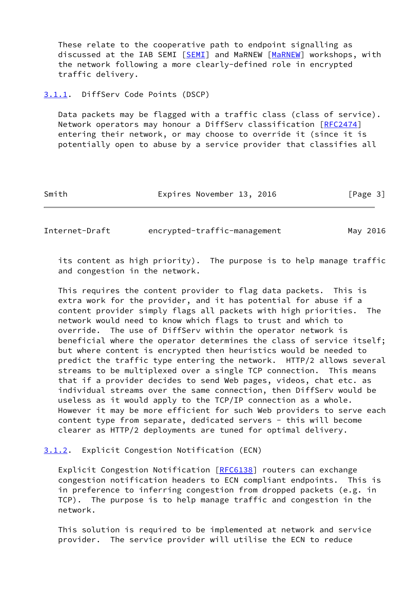These relate to the cooperative path to endpoint signalling as discussed at the IAB SEMI [[SEMI\]](#page-9-2) and MaRNEW [\[MaRNEW](#page-8-3)] workshops, with the network following a more clearly-defined role in encrypted traffic delivery.

#### <span id="page-3-0"></span>[3.1.1](#page-3-0). DiffServ Code Points (DSCP)

 Data packets may be flagged with a traffic class (class of service). Network operators may honour a DiffServ classification [\[RFC2474](https://datatracker.ietf.org/doc/pdf/rfc2474)] entering their network, or may choose to override it (since it is potentially open to abuse by a service provider that classifies all

Smith **Expires November 13, 2016** [Page 3]

<span id="page-3-2"></span>Internet-Draft encrypted-traffic-management May 2016

 its content as high priority). The purpose is to help manage traffic and congestion in the network.

 This requires the content provider to flag data packets. This is extra work for the provider, and it has potential for abuse if a content provider simply flags all packets with high priorities. The network would need to know which flags to trust and which to override. The use of DiffServ within the operator network is beneficial where the operator determines the class of service itself; but where content is encrypted then heuristics would be needed to predict the traffic type entering the network. HTTP/2 allows several streams to be multiplexed over a single TCP connection. This means that if a provider decides to send Web pages, videos, chat etc. as individual streams over the same connection, then DiffServ would be useless as it would apply to the TCP/IP connection as a whole. However it may be more efficient for such Web providers to serve each content type from separate, dedicated servers - this will become clearer as HTTP/2 deployments are tuned for optimal delivery.

<span id="page-3-1"></span>[3.1.2](#page-3-1). Explicit Congestion Notification (ECN)

Explicit Congestion Notification [\[RFC6138](https://datatracker.ietf.org/doc/pdf/rfc6138)] routers can exchange congestion notification headers to ECN compliant endpoints. This is in preference to inferring congestion from dropped packets (e.g. in TCP). The purpose is to help manage traffic and congestion in the network.

 This solution is required to be implemented at network and service provider. The service provider will utilise the ECN to reduce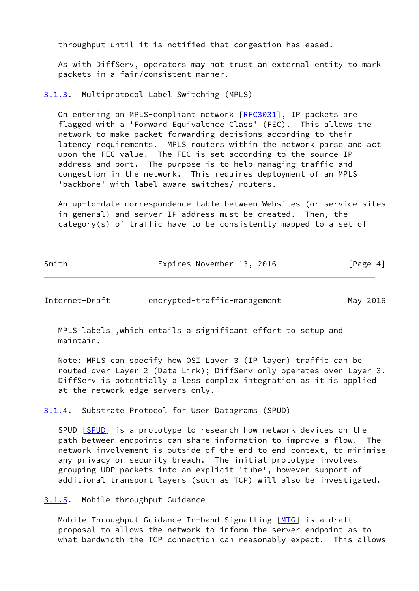throughput until it is notified that congestion has eased.

 As with DiffServ, operators may not trust an external entity to mark packets in a fair/consistent manner.

<span id="page-4-0"></span>[3.1.3](#page-4-0). Multiprotocol Label Switching (MPLS)

On entering an MPLS-compliant network [[RFC3031](https://datatracker.ietf.org/doc/pdf/rfc3031)], IP packets are flagged with a 'Forward Equivalence Class' (FEC). This allows the network to make packet-forwarding decisions according to their latency requirements. MPLS routers within the network parse and act upon the FEC value. The FEC is set according to the source IP address and port. The purpose is to help managing traffic and congestion in the network. This requires deployment of an MPLS 'backbone' with label-aware switches/ routers.

 An up-to-date correspondence table between Websites (or service sites in general) and server IP address must be created. Then, the category(s) of traffic have to be consistently mapped to a set of

| Smith | Expires November 13, 2016 | [Page 4] |
|-------|---------------------------|----------|

<span id="page-4-2"></span>Internet-Draft encrypted-traffic-management May 2016

 MPLS labels ,which entails a significant effort to setup and maintain.

 Note: MPLS can specify how OSI Layer 3 (IP layer) traffic can be routed over Layer 2 (Data Link); DiffServ only operates over Layer 3. DiffServ is potentially a less complex integration as it is applied at the network edge servers only.

<span id="page-4-1"></span>[3.1.4](#page-4-1). Substrate Protocol for User Datagrams (SPUD)

 SPUD [\[SPUD](#page-9-3)] is a prototype to research how network devices on the path between endpoints can share information to improve a flow. The network involvement is outside of the end-to-end context, to minimise any privacy or security breach. The initial prototype involves grouping UDP packets into an explicit 'tube', however support of additional transport layers (such as TCP) will also be investigated.

<span id="page-4-3"></span>[3.1.5](#page-4-3). Mobile throughput Guidance

Mobile Throughput Guidance In-band Signalling [[MTG](#page-8-4)] is a draft proposal to allows the network to inform the server endpoint as to what bandwidth the TCP connection can reasonably expect. This allows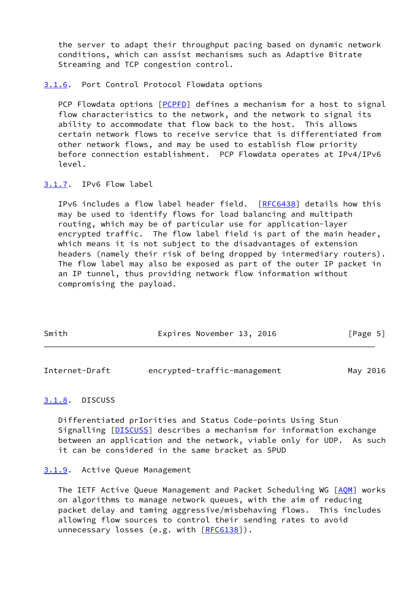the server to adapt their throughput pacing based on dynamic network conditions, which can assist mechanisms such as Adaptive Bitrate Streaming and TCP congestion control.

<span id="page-5-0"></span>[3.1.6](#page-5-0). Port Control Protocol Flowdata options

 PCP Flowdata options [\[PCPFD\]](#page-8-5) defines a mechanism for a host to signal flow characteristics to the network, and the network to signal its ability to accommodate that flow back to the host. This allows certain network flows to receive service that is differentiated from other network flows, and may be used to establish flow priority before connection establishment. PCP Flowdata operates at IPv4/IPv6 level.

#### <span id="page-5-1"></span>[3.1.7](#page-5-1). IPv6 Flow label

 IPv6 includes a flow label header field. [[RFC6438](https://datatracker.ietf.org/doc/pdf/rfc6438)] details how this may be used to identify flows for load balancing and multipath routing, which may be of particular use for application-layer encrypted traffic. The flow label field is part of the main header, which means it is not subject to the disadvantages of extension headers (namely their risk of being dropped by intermediary routers). The flow label may also be exposed as part of the outer IP packet in an IP tunnel, thus providing network flow information without compromising the payload.

| Smith | Expires November 13, 2016 |  | [Page 5] |
|-------|---------------------------|--|----------|
|       |                           |  |          |

<span id="page-5-3"></span>

| Internet-Draft | encrypted-traffic-management | May 2016 |
|----------------|------------------------------|----------|
|                |                              |          |

## <span id="page-5-2"></span>[3.1.8](#page-5-2). DISCUSS

 Differentiated prIorities and Status Code-points Using Stun Signalling [[DISCUSS\]](#page-8-6) describes a mechanism for information exchange between an application and the network, viable only for UDP. As such it can be considered in the same bracket as SPUD

#### <span id="page-5-4"></span>[3.1.9](#page-5-4). Active Queue Management

 The IETF Active Queue Management and Packet Scheduling WG [[AQM](#page-8-7)] works on algorithms to manage network queues, with the aim of reducing packet delay and taming aggressive/misbehaving flows. This includes allowing flow sources to control their sending rates to avoid unnecessary losses (e.g. with  $[REC6138]$ ).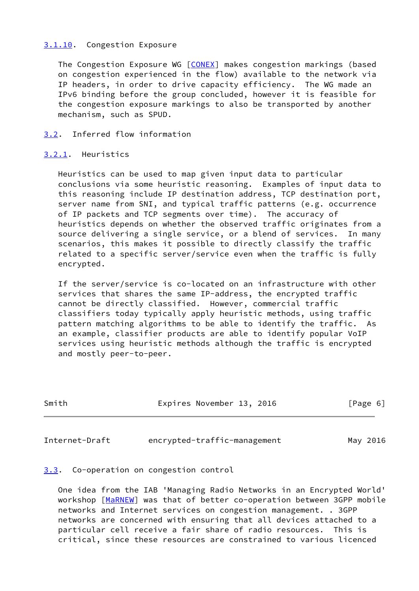## <span id="page-6-0"></span>[3.1.10](#page-6-0). Congestion Exposure

 The Congestion Exposure WG [[CONEX\]](#page-8-8) makes congestion markings (based on congestion experienced in the flow) available to the network via IP headers, in order to drive capacity efficiency. The WG made an IPv6 binding before the group concluded, however it is feasible for the congestion exposure markings to also be transported by another mechanism, such as SPUD.

# <span id="page-6-1"></span>[3.2](#page-6-1). Inferred flow information

#### <span id="page-6-2"></span>[3.2.1](#page-6-2). Heuristics

 Heuristics can be used to map given input data to particular conclusions via some heuristic reasoning. Examples of input data to this reasoning include IP destination address, TCP destination port, server name from SNI, and typical traffic patterns (e.g. occurrence of IP packets and TCP segments over time). The accuracy of heuristics depends on whether the observed traffic originates from a source delivering a single service, or a blend of services. In many scenarios, this makes it possible to directly classify the traffic related to a specific server/service even when the traffic is fully encrypted.

 If the server/service is co-located on an infrastructure with other services that shares the same IP-address, the encrypted traffic cannot be directly classified. However, commercial traffic classifiers today typically apply heuristic methods, using traffic pattern matching algorithms to be able to identify the traffic. As an example, classifier products are able to identify popular VoIP services using heuristic methods although the traffic is encrypted and mostly peer-to-peer.

| Smith | Expires November 13, 2016 |  | [Page 6] |  |
|-------|---------------------------|--|----------|--|
|       |                           |  |          |  |

<span id="page-6-4"></span>Internet-Draft encrypted-traffic-management May 2016

# <span id="page-6-3"></span>[3.3](#page-6-3). Co-operation on congestion control

 One idea from the IAB 'Managing Radio Networks in an Encrypted World' workshop [\[MaRNEW](#page-8-3)] was that of better co-operation between 3GPP mobile networks and Internet services on congestion management. . 3GPP networks are concerned with ensuring that all devices attached to a particular cell receive a fair share of radio resources. This is critical, since these resources are constrained to various licenced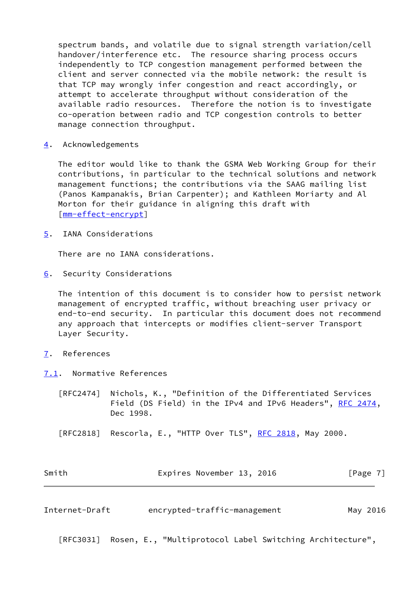spectrum bands, and volatile due to signal strength variation/cell handover/interference etc. The resource sharing process occurs independently to TCP congestion management performed between the client and server connected via the mobile network: the result is that TCP may wrongly infer congestion and react accordingly, or attempt to accelerate throughput without consideration of the available radio resources. Therefore the notion is to investigate co-operation between radio and TCP congestion controls to better manage connection throughput.

<span id="page-7-0"></span>[4](#page-7-0). Acknowledgements

 The editor would like to thank the GSMA Web Working Group for their contributions, in particular to the technical solutions and network management functions; the contributions via the SAAG mailing list (Panos Kampanakis, Brian Carpenter); and Kathleen Moriarty and Al Morton for their guidance in aligning this draft with [\[mm-effect-encrypt](#page-8-2)]

<span id="page-7-1"></span>[5](#page-7-1). IANA Considerations

There are no IANA considerations.

<span id="page-7-2"></span>[6](#page-7-2). Security Considerations

 The intention of this document is to consider how to persist network management of encrypted traffic, without breaching user privacy or end-to-end security. In particular this document does not recommend any approach that intercepts or modifies client-server Transport Layer Security.

- <span id="page-7-3"></span>[7](#page-7-3). References
- <span id="page-7-4"></span>[7.1](#page-7-4). Normative References
	- [RFC2474] Nichols, K., "Definition of the Differentiated Services Field (DS Field) in the IPv4 and IPv6 Headers", [RFC 2474,](https://datatracker.ietf.org/doc/pdf/rfc2474) Dec 1998.
	- [RFC2818] Rescorla, E., "HTTP Over TLS", <u>RFC 2818</u>, May 2000.

| Smith | Expires November 13, 2016 | [Page 7] |
|-------|---------------------------|----------|
|       |                           |          |

<span id="page-7-5"></span>Internet-Draft encrypted-traffic-management May 2016

[RFC3031] Rosen, E., "Multiprotocol Label Switching Architecture",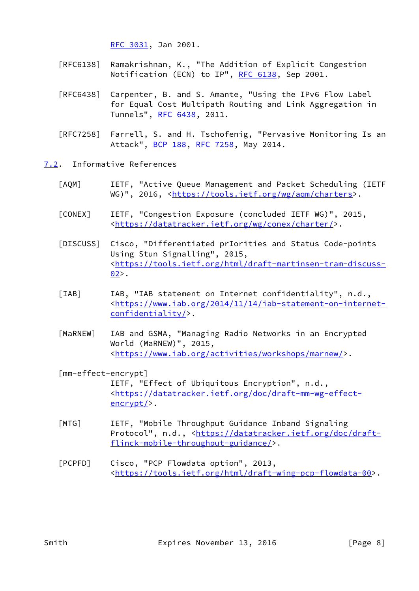[RFC 3031,](https://datatracker.ietf.org/doc/pdf/rfc3031) Jan 2001.

- [RFC6138] Ramakrishnan, K., "The Addition of Explicit Congestion Notification (ECN) to IP", [RFC 6138](https://datatracker.ietf.org/doc/pdf/rfc6138), Sep 2001.
- [RFC6438] Carpenter, B. and S. Amante, "Using the IPv6 Flow Label for Equal Cost Multipath Routing and Link Aggregation in Tunnels", [RFC 6438](https://datatracker.ietf.org/doc/pdf/rfc6438), 2011.
- [RFC7258] Farrell, S. and H. Tschofenig, "Pervasive Monitoring Is an Attack", [BCP 188,](https://datatracker.ietf.org/doc/pdf/bcp188) [RFC 7258](https://datatracker.ietf.org/doc/pdf/rfc7258), May 2014.
- <span id="page-8-8"></span><span id="page-8-7"></span><span id="page-8-6"></span><span id="page-8-0"></span>[7.2](#page-8-0). Informative References
	- [AQM] IETF, "Active Queue Management and Packet Scheduling (IETF WG)", 2016, [<https://tools.ietf.org/wg/aqm/charters](https://tools.ietf.org/wg/aqm/charters)>.
	- [CONEX] IETF, "Congestion Exposure (concluded IETF WG)", 2015, <<https://datatracker.ietf.org/wg/conex/charter/>>.
	- [DISCUSS] Cisco, "Differentiated prIorities and Status Code-points Using Stun Signalling", 2015, <[https://tools.ietf.org/html/draft-martinsen-tram-discuss-](https://tools.ietf.org/html/draft-martinsen-tram-discuss-02)  $02$ .
	- [IAB] IAB, "IAB statement on Internet confidentiality", n.d., <[https://www.iab.org/2014/11/14/iab-statement-on-internet](https://www.iab.org/2014/11/14/iab-statement-on-internet-confidentiality/) [confidentiality/>](https://www.iab.org/2014/11/14/iab-statement-on-internet-confidentiality/).
	- [MaRNEW] IAB and GSMA, "Managing Radio Networks in an Encrypted World (MaRNEW)", 2015, <[https://www.iab.org/activities/workshops/marnew/>](https://www.iab.org/activities/workshops/marnew/).

# <span id="page-8-3"></span><span id="page-8-2"></span><span id="page-8-1"></span> [mm-effect-encrypt] IETF, "Effect of Ubiquitous Encryption", n.d., <[https://datatracker.ietf.org/doc/draft-mm-wg-effect](https://datatracker.ietf.org/doc/draft-mm-wg-effect-encrypt/) [encrypt/>](https://datatracker.ietf.org/doc/draft-mm-wg-effect-encrypt/).

- <span id="page-8-4"></span> [MTG] IETF, "Mobile Throughput Guidance Inband Signaling Protocol", n.d., [<https://datatracker.ietf.org/doc/draft](https://datatracker.ietf.org/doc/draft-flinck-mobile-throughput-guidance/) [flinck-mobile-throughput-guidance/>](https://datatracker.ietf.org/doc/draft-flinck-mobile-throughput-guidance/).
- <span id="page-8-5"></span> [PCPFD] Cisco, "PCP Flowdata option", 2013, <<https://tools.ietf.org/html/draft-wing-pcp-flowdata-00>>.